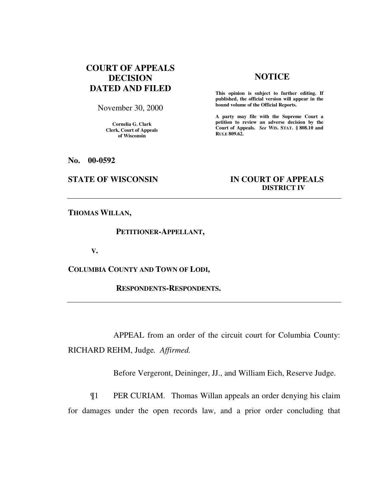# **COURT OF APPEALS DECISION DATED AND FILED**

November 30, 2000

**Cornelia G. Clark Clerk, Court of Appeals of Wisconsin** 

## **NOTICE**

**This opinion is subject to further editing. If published, the official version will appear in the bound volume of the Official Reports.**

**A party may file with the Supreme Court a petition to review an adverse decision by the Court of Appeals.** *See* **WIS. STAT. § 808.10 and RULE 809.62.** 

**No. 00-0592** 

## **STATE OF WISCONSIN IN COURT OF APPEALS DISTRICT IV**

**THOMAS WILLAN,** 

### **PETITIONER-APPELLANT,**

 **V.** 

**COLUMBIA COUNTY AND TOWN OF LODI,** 

 **RESPONDENTS-RESPONDENTS.** 

APPEAL from an order of the circuit court for Columbia County: RICHARD REHM, Judge*. Affirmed.*

Before Vergeront, Deininger, JJ., and William Eich, Reserve Judge.

¶1 PER CURIAM. Thomas Willan appeals an order denying his claim for damages under the open records law, and a prior order concluding that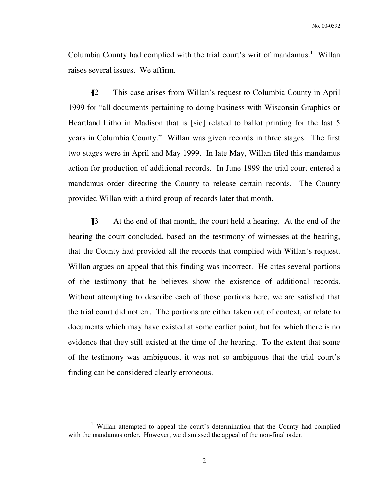Columbia County had complied with the trial court's writ of mandamus.<sup>1</sup> Willan raises several issues. We affirm.

¶2 This case arises from Willan's request to Columbia County in April 1999 for "all documents pertaining to doing business with Wisconsin Graphics or Heartland Litho in Madison that is [sic] related to ballot printing for the last 5 years in Columbia County." Willan was given records in three stages. The first two stages were in April and May 1999. In late May, Willan filed this mandamus action for production of additional records. In June 1999 the trial court entered a mandamus order directing the County to release certain records. The County provided Willan with a third group of records later that month.

¶3 At the end of that month, the court held a hearing. At the end of the hearing the court concluded, based on the testimony of witnesses at the hearing, that the County had provided all the records that complied with Willan's request. Willan argues on appeal that this finding was incorrect. He cites several portions of the testimony that he believes show the existence of additional records. Without attempting to describe each of those portions here, we are satisfied that the trial court did not err. The portions are either taken out of context, or relate to documents which may have existed at some earlier point, but for which there is no evidence that they still existed at the time of the hearing. To the extent that some of the testimony was ambiguous, it was not so ambiguous that the trial court's finding can be considered clearly erroneous.

-

<sup>1</sup> Willan attempted to appeal the court's determination that the County had complied with the mandamus order. However, we dismissed the appeal of the non-final order.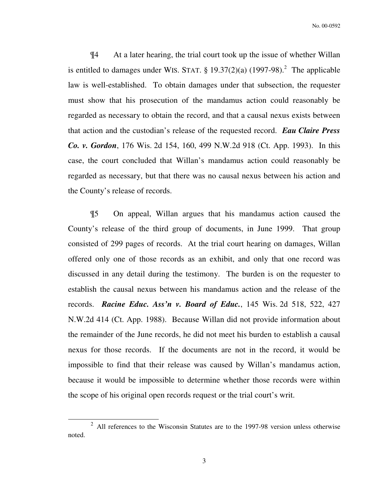¶4 At a later hearing, the trial court took up the issue of whether Willan is entitled to damages under WIS. STAT.  $\S 19.37(2)(a)$  (1997-98).<sup>2</sup> The applicable law is well-established. To obtain damages under that subsection, the requester must show that his prosecution of the mandamus action could reasonably be regarded as necessary to obtain the record, and that a causal nexus exists between that action and the custodian's release of the requested record. *Eau Claire Press Co. v. Gordon*, 176 Wis. 2d 154, 160, 499 N.W.2d 918 (Ct. App. 1993). In this case, the court concluded that Willan's mandamus action could reasonably be regarded as necessary, but that there was no causal nexus between his action and the County's release of records.

¶5 On appeal, Willan argues that his mandamus action caused the County's release of the third group of documents, in June 1999. That group consisted of 299 pages of records. At the trial court hearing on damages, Willan offered only one of those records as an exhibit, and only that one record was discussed in any detail during the testimony. The burden is on the requester to establish the causal nexus between his mandamus action and the release of the records. *Racine Educ. Ass'n v. Board of Educ.*, 145 Wis. 2d 518, 522, 427 N.W.2d 414 (Ct. App. 1988). Because Willan did not provide information about the remainder of the June records, he did not meet his burden to establish a causal nexus for those records. If the documents are not in the record, it would be impossible to find that their release was caused by Willan's mandamus action, because it would be impossible to determine whether those records were within the scope of his original open records request or the trial court's writ.

-

 $2$  All references to the Wisconsin Statutes are to the 1997-98 version unless otherwise noted.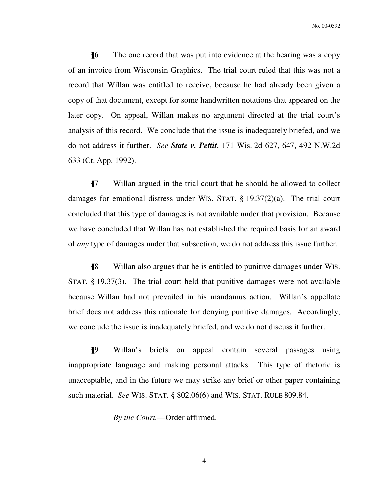No. 00-0592

¶6 The one record that was put into evidence at the hearing was a copy of an invoice from Wisconsin Graphics. The trial court ruled that this was not a record that Willan was entitled to receive, because he had already been given a copy of that document, except for some handwritten notations that appeared on the later copy. On appeal, Willan makes no argument directed at the trial court's analysis of this record. We conclude that the issue is inadequately briefed, and we do not address it further. *See State v. Pettit*, 171 Wis. 2d 627, 647, 492 N.W.2d 633 (Ct. App. 1992).

¶7 Willan argued in the trial court that he should be allowed to collect damages for emotional distress under WIS. STAT. § 19.37(2)(a). The trial court concluded that this type of damages is not available under that provision. Because we have concluded that Willan has not established the required basis for an award of *any* type of damages under that subsection, we do not address this issue further.

¶8 Willan also argues that he is entitled to punitive damages under WIS. STAT. § 19.37(3). The trial court held that punitive damages were not available because Willan had not prevailed in his mandamus action. Willan's appellate brief does not address this rationale for denying punitive damages. Accordingly, we conclude the issue is inadequately briefed, and we do not discuss it further.

¶9 Willan's briefs on appeal contain several passages using inappropriate language and making personal attacks. This type of rhetoric is unacceptable, and in the future we may strike any brief or other paper containing such material. *See* WIS. STAT. § 802.06(6) and WIS. STAT. RULE 809.84.

*By the Court.*—Order affirmed.

4